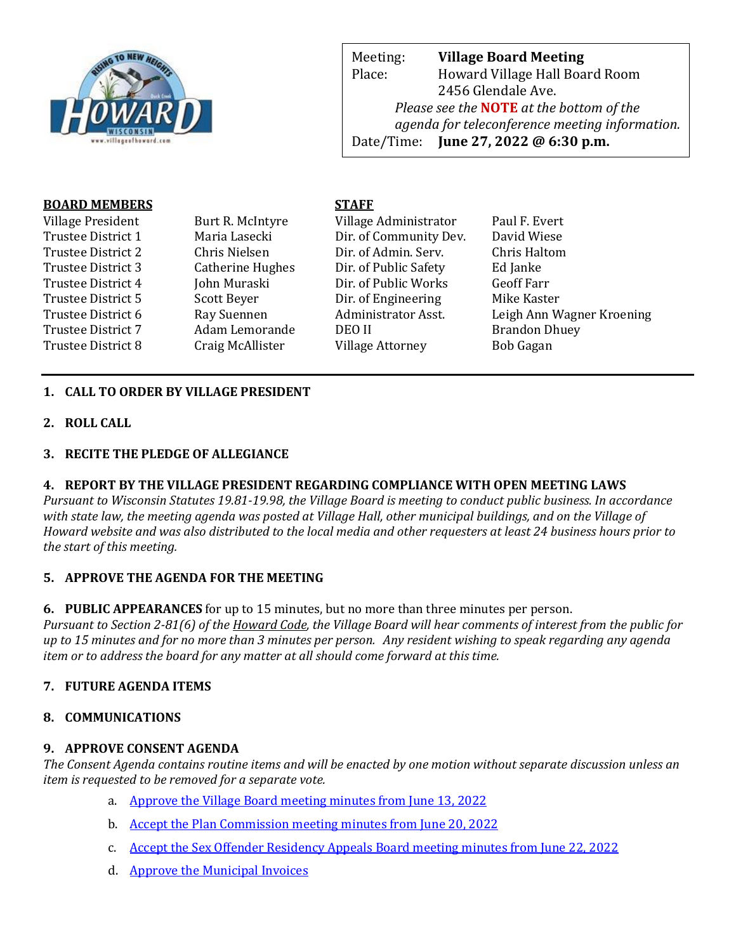

Meeting: **Village Board Meeting** Place: Howard Village Hall Board Room 2456 Glendale Ave. *Please see the* **NOTE** *at the bottom of the agenda for teleconference meeting information.*  Date/Time: **June 27, 2022 @ 6:30 p.m.**

web Page: www.villageoff.com

#### **BOARD MEMBERS STAFF**

Village President Burt R. McIntyre Village Administrator Paul F. Evert Trustee District 1 Maria Lasecki Dir. of Community Dev. David Wiese Trustee District 2 Chris Nielsen Dir. of Admin. Serv. Chris Haltom Trustee District 3 Catherine Hughes Dir. of Public Safety Ed Janke Trustee District 4 John Muraski Dir. of Public Works Geoff Farr Trustee District 5 Scott Beyer Dir. of Engineering Mike Kaster Trustee District 7 Adam Lemorande DEO II Brandon Dhuey Trustee District 8 Craig McAllister Village Attorney Bob Gagan

Trustee District 6 Ray Suennen Administrator Asst. Leigh Ann Wagner Kroening

# **1. CALL TO ORDER BY VILLAGE PRESIDENT**

**2. ROLL CALL**

### **3. RECITE THE PLEDGE OF ALLEGIANCE**

### **4. REPORT BY THE VILLAGE PRESIDENT REGARDING COMPLIANCE WITH OPEN MEETING LAWS**

*Pursuant to Wisconsin Statutes 19.81-19.98, the Village Board is meeting to conduct public business. In accordance with state law, the meeting agenda was posted at Village Hall, other municipal buildings, and on the Village of Howard website and was also distributed to the local media and other requesters at least 24 business hours prior to the start of this meeting.* 

### **5. APPROVE THE AGENDA FOR THE MEETING**

**6. PUBLIC APPEARANCES** for up to 15 minutes, but no more than three minutes per person.

*Pursuant to Section 2-81(6) of the Howard Code, the Village Board will hear comments of interest from the public for up to 15 minutes and for no more than 3 minutes per person. Any resident wishing to speak regarding any agenda item or to address the board for any matter at all should come forward at this time.* 

# **7. FUTURE AGENDA ITEMS**

### **8. COMMUNICATIONS**

### **9. APPROVE CONSENT AGENDA**

*The Consent Agenda contains routine items and will be enacted by one motion without separate discussion unless an item is requested to be removed for a separate vote.*

- a. [Approve the Village Board meeting minutes from June 13, 2022](https://www.villageofhoward.com/DocumentCenter/View/8423/9a-VB-Minutes-06-13-22)
- b. [Accept the Plan Commission meeting minutes from June 20, 2022](https://www.villageofhoward.com/DocumentCenter/View/8424/9b-PC-minutes-06-20-22)
- c. [Accept the Sex Offender Residency Appeals Board meeting minutes from June 22, 2022](https://www.villageofhoward.com/DocumentCenter/View/8425/9c-SORAB-minutes-06-22-22-)
- d. [Approve the Municipal Invoices](https://www.villageofhoward.com/DocumentCenter/View/8426/9d-Municipal-Invoices)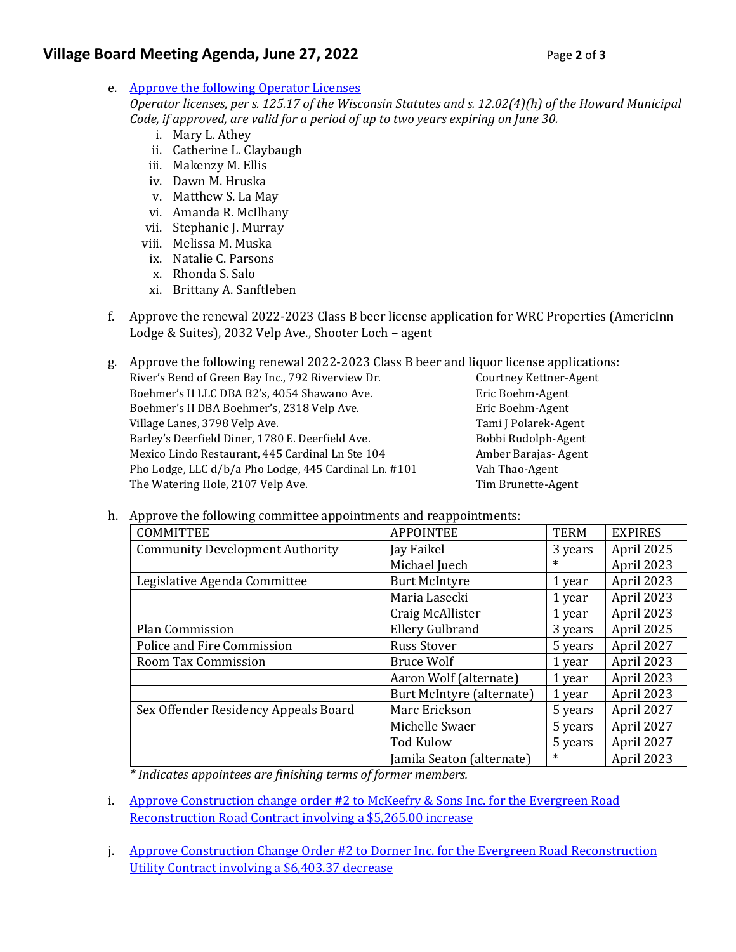# **Village Board Meeting Agenda, June 27, 2022** Page 2 of 3

e. [Approve the following Operator Licenses](https://www.villageofhoward.com/DocumentCenter/View/8427/9e-Operator-licenses)

*Operator licenses, per s. 125.17 of the Wisconsin Statutes and s. 12.02(4)(h) of the Howard Municipal Code, if approved, are valid for a period of up to two years expiring on June 30.*

- i. Mary L. Athey
- ii. Catherine L. Claybaugh
- iii. Makenzy M. Ellis
- iv. Dawn M. Hruska
- v. Matthew S. La May
- vi. Amanda R. McIlhany
- vii. Stephanie J. Murray
- viii. Melissa M. Muska
- ix. Natalie C. Parsons
- x. Rhonda S. Salo
- xi. Brittany A. Sanftleben
- f. Approve the renewal 2022-2023 Class B beer license application for WRC Properties (AmericInn Lodge & Suites), 2032 Velp Ave., Shooter Loch – agent

g. Approve the following renewal 2022-2023 Class B beer and liquor license applications: River's Bend of Green Bay Inc., 792 Riverview Dr. Courtney Kettner-Agent Boehmer's II LLC DBA B2's, 4054 Shawano Ave. Fric Boehm-Agent Boehmer's II DBA Boehmer's, 2318 Velp Ave. Eric Boehm-Agent Village Lanes, 3798 Velp Ave. Tami J Polarek-Agent

Barley's Deerfield Diner, 1780 E. Deerfield Ave. Bobbi Rudolph-Agent Mexico Lindo Restaurant, 445 Cardinal Ln Ste 104 Amber Barajas- Agent Pho Lodge, LLC d/b/a Pho Lodge, 445 Cardinal Ln. #101 Vah Thao-Agent The Watering Hole, 2107 Velp Ave. The Watering Hole, 2107 Velp Ave.

#### h. Approve the following committee appointments and reappointments:

| <b>COMMITTEE</b>                       | <b>APPOINTEE</b>          | <b>TERM</b> | <b>EXPIRES</b> |
|----------------------------------------|---------------------------|-------------|----------------|
| <b>Community Development Authority</b> | Jay Faikel                | 3 years     | April 2025     |
|                                        | Michael Juech             | $\ast$      | April 2023     |
| Legislative Agenda Committee           | <b>Burt McIntyre</b>      | 1 year      | April 2023     |
|                                        | Maria Lasecki             | 1 year      | April 2023     |
|                                        | Craig McAllister          | 1 year      | April 2023     |
| <b>Plan Commission</b>                 | <b>Ellery Gulbrand</b>    | 3 years     | April 2025     |
| Police and Fire Commission             | <b>Russ Stover</b>        | 5 years     | April 2027     |
| Room Tax Commission                    | <b>Bruce Wolf</b>         | 1 year      | April 2023     |
|                                        | Aaron Wolf (alternate)    | 1 year      | April 2023     |
|                                        | Burt McIntyre (alternate) | 1 year      | April 2023     |
| Sex Offender Residency Appeals Board   | Marc Erickson             | 5 years     | April 2027     |
|                                        | Michelle Swaer            | 5 years     | April 2027     |
|                                        | <b>Tod Kulow</b>          | 5 years     | April 2027     |
|                                        | Jamila Seaton (alternate) | $\ast$      | April 2023     |

*\* Indicates appointees are finishing terms of former members.* 

- i. [Approve Construction change order #2 to McKeefry & Sons Inc. for the Evergreen Road](https://www.villageofhoward.com/DocumentCenter/View/8428/9i-CO-2-Evergreen-Road-roadway-reconstruction)  [Reconstruction Road Contract involving a \\$5,265.00 increase](https://www.villageofhoward.com/DocumentCenter/View/8428/9i-CO-2-Evergreen-Road-roadway-reconstruction)
- j. [Approve Construction Change Order #2 to Dorner Inc. for the Evergreen Road Reconstruction](https://www.villageofhoward.com/DocumentCenter/View/8429/9j-CO-2-Evergreen-Road-utility-contract)  [Utility Contract involving a \\$6,403.37 decrease](https://www.villageofhoward.com/DocumentCenter/View/8429/9j-CO-2-Evergreen-Road-utility-contract)